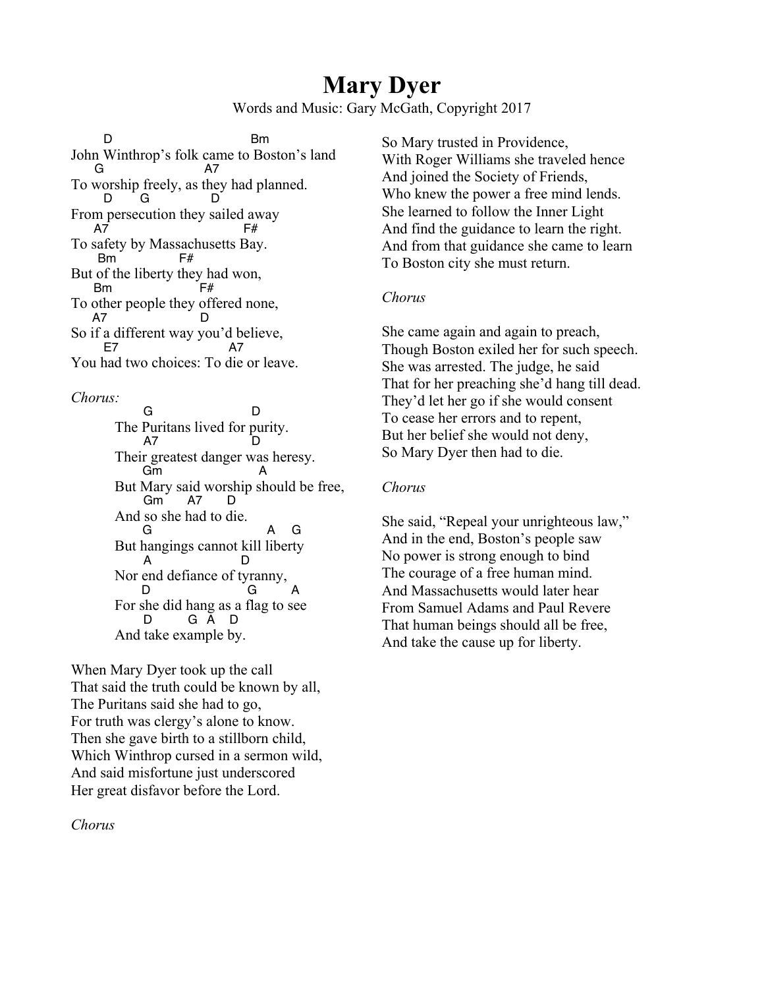## **Mary Dyer**

Words and Music: Gary McGath, Copyright 2017

D Bm John Winthrop's folk came to Boston's land G A7 To worship freely, as they had planned.<br> $\overline{D}$  G D G D From persecution they sailed away<br> $A7$  F# A7 F# To safety by Massachusetts Bay. Bm F# But of the liberty they had won, Bm F# To other people they offered none, A7 D So if a different way you'd believe,<br> $F<sup>7</sup>$  A7 E7 A7 You had two choices: To die or leave.

*Chorus:*

G D The Puritans lived for purity. A7 Their greatest danger was heresy.  $Gm$ But Mary said worship should be free, Gm A7 D And so she had to die. G A G But hangings cannot kill liberty A D Nor end defiance of tyranny,<br>D D G A For she did hang as a flag to see D G A D And take example by.

When Mary Dyer took up the call That said the truth could be known by all, The Puritans said she had to go, For truth was clergy's alone to know. Then she gave birth to a stillborn child, Which Winthrop cursed in a sermon wild, And said misfortune just underscored Her great disfavor before the Lord.

*Chorus*

So Mary trusted in Providence, With Roger Williams she traveled hence And joined the Society of Friends, Who knew the power a free mind lends. She learned to follow the Inner Light And find the guidance to learn the right. And from that guidance she came to learn To Boston city she must return.

## *Chorus*

She came again and again to preach, Though Boston exiled her for such speech. She was arrested. The judge, he said That for her preaching she'd hang till dead. They'd let her go if she would consent To cease her errors and to repent, But her belief she would not deny, So Mary Dyer then had to die.

## *Chorus*

She said, "Repeal your unrighteous law," And in the end, Boston's people saw No power is strong enough to bind The courage of a free human mind. And Massachusetts would later hear From Samuel Adams and Paul Revere That human beings should all be free, And take the cause up for liberty.